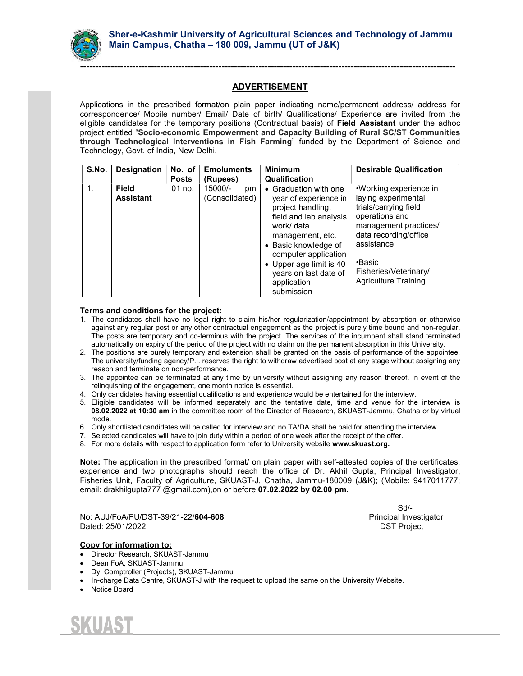

Applications in the prescribed format/on plain paper indicating name/permanent address/ address for correspondence/ Mobile number/ Email/ Date of birth/ Qualifications/ Experience are invited from the eligible candidates for the temporary positions (Contractual basis) of Field Assistant under the adhoc project entitled "Socio-economic Empowerment and Capacity Building of Rural SC/ST Communities through Technological Interventions in Fish Farming" funded by the Department of Science and Technology, Govt. of India, New Delhi.

| S.No. | Designation                      | No. of<br><b>Posts</b> | <b>Emoluments</b><br>(Rupees)   | <b>Minimum</b><br><b>Qualification</b>                                                                                                              | <b>Desirable Qualification</b>                                                                                                                           |
|-------|----------------------------------|------------------------|---------------------------------|-----------------------------------------------------------------------------------------------------------------------------------------------------|----------------------------------------------------------------------------------------------------------------------------------------------------------|
| 1.    | <b>Field</b><br><b>Assistant</b> | $01$ no.               | 15000/-<br>pm<br>(Consolidated) | Graduation with one<br>year of experience in<br>project handling,<br>field and lab analysis<br>work/ data<br>management, etc.<br>Basic knowledge of | •Working experience in<br>laying experimental<br>trials/carrying field<br>operations and<br>management practices/<br>data recording/office<br>assistance |
|       |                                  |                        |                                 | computer application<br>Upper age limit is 40<br>years on last date of<br>application<br>submission                                                 | ∙Basic<br>Fisheries/Veterinary/<br><b>Agriculture Training</b>                                                                                           |

## Terms and conditions for the project:

- 1. The candidates shall have no legal right to claim his/her regularization/appointment by absorption or otherwise against any regular post or any other contractual engagement as the project is purely time bound and non-regular. The posts are temporary and co-terminus with the project. The services of the incumbent shall stand terminated automatically on expiry of the period of the project with no claim on the permanent absorption in this University.
- 2. The positions are purely temporary and extension shall be granted on the basis of performance of the appointee. The university/funding agency/P.I. reserves the right to withdraw advertised post at any stage without assigning any reason and terminate on non-performance.
- 3. The appointee can be terminated at any time by university without assigning any reason thereof. In event of the relinquishing of the engagement, one month notice is essential.
- 4. Only candidates having essential qualifications and experience would be entertained for the interview.
- 5. Eligible candidates will be informed separately and the tentative date, time and venue for the interview is 08.02.2022 at 10:30 am in the committee room of the Director of Research, SKUAST-Jammu, Chatha or by virtual mode.
- 6. Only shortlisted candidates will be called for interview and no TA/DA shall be paid for attending the interview.
- 7. Selected candidates will have to join duty within a period of one week after the receipt of the offer.
- 8. For more details with respect to application form refer to University website www.skuast.org.

Note: The application in the prescribed format/ on plain paper with self-attested copies of the certificates, experience and two photographs should reach the office of Dr. Akhil Gupta, Principal Investigator, Fisheries Unit, Faculty of Agriculture, SKUAST-J, Chatha, Jammu-180009 (J&K); (Mobile: 9417011777; email: drakhilgupta777 @gmail.com),on or before 07.02.2022 by 02.00 pm.

No: AUJ/FoA/FU/DST-39/21-22/**604-608** extended the extension of Principal Investigator Dated: 25/01/2022 DST Project

Sd/-

### Copy for information to:

- Director Research, SKUAST-Jammu
- Dean FoA, SKUAST-Jammu
- Dy. Comptroller (Projects), SKUAST-Jammu
- In-charge Data Centre, SKUAST-J with the request to upload the same on the University Website.
- Notice Board